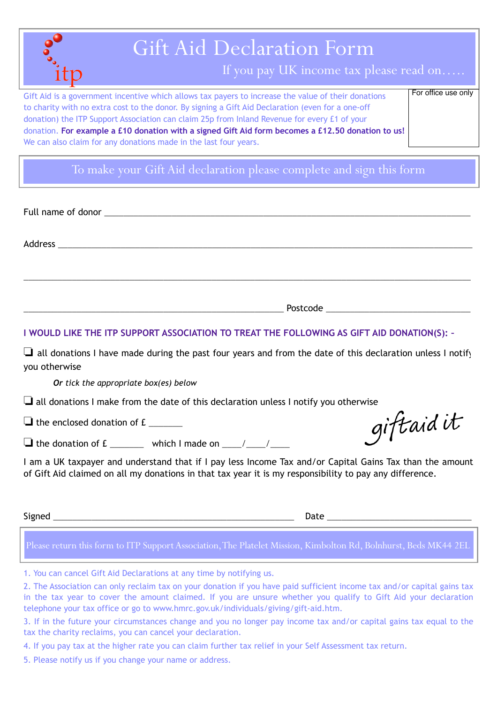|     | Gift Aid Declaration Form                                                                                                                                                                                                                                                                                                                                                                                                                                                         |                     |
|-----|-----------------------------------------------------------------------------------------------------------------------------------------------------------------------------------------------------------------------------------------------------------------------------------------------------------------------------------------------------------------------------------------------------------------------------------------------------------------------------------|---------------------|
| 1tp | If you pay UK income tax please read on                                                                                                                                                                                                                                                                                                                                                                                                                                           |                     |
|     | Gift Aid is a government incentive which allows tax payers to increase the value of their donations<br>to charity with no extra cost to the donor. By signing a Gift Aid Declaration (even for a one-off<br>donation) the ITP Support Association can claim 25p from Inland Revenue for every £1 of your<br>donation. For example a £10 donation with a signed Gift Aid form becomes a £12.50 donation to us!<br>We can also claim for any donations made in the last four years. | For office use only |

To make your Gift Aid declaration please complete and sign this form

| I WOULD LIKE THE ITP SUPPORT ASSOCIATION TO TREAT THE FOLLOWING AS GIFT AID DONATION(S): - |
|--------------------------------------------------------------------------------------------|

❏ all donations I have made during the past four years and from the date of this declaration unless I notify you otherwise

## *Or tick the appropriate box(es) below*

❏ all donations I make from the date of this declaration unless I notify you otherwise

 $\Box$  the enclosed donation of  $E$ 

 $\Box$  the donation of £ which I made on  $\Box$ 

I am a UK taxpayer and understand that if I pay less Income Tax and/or Capital Gains Tax than the amount of Gift Aid claimed on all my donations in that tax year it is my responsibility to pay any difference.

Signed \_\_\_\_\_\_\_\_\_\_\_\_\_\_\_\_\_\_\_\_\_\_\_\_\_\_\_\_\_\_\_\_\_\_\_\_\_\_\_\_\_\_\_\_\_\_\_\_\_\_ Date \_\_\_\_\_\_\_\_\_\_\_\_\_\_\_\_\_\_\_\_\_\_\_\_\_\_\_\_\_\_

Please return this form to ITP Support Association, The Platelet Mission, Kimbolton Rd, Bolnhurst, Beds MK44 2EL

- 1. You can cancel Gift Aid Declarations at any time by notifying us.
- 2. The Association can only reclaim tax on your donation if you have paid sufficient income tax and/or capital gains tax in the tax year to cover the amount claimed. If you are unsure whether you qualify to Gift Aid your declaration telephone your tax office or go to www.hmrc.gov.uk/individuals/giving/gift-aid.htm.
- 3. If in the future your circumstances change and you no longer pay income tax and/or capital gains tax equal to the tax the charity reclaims, you can cancel your declaration.
- 4. If you pay tax at the higher rate you can claim further tax relief in your Self Assessment tax return.
- 5. Please notify us if you change your name or address.